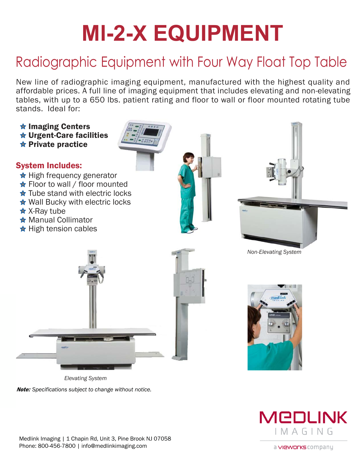# **Ml-2-X EQUIPMENT**

## Radiographic Equipment with Four Way Float Top Table

New line of radiographic imaging equipment, manufactured with the highest quality and affordable prices. A full line of imaging equipment that includes elevating and non-elevating stands. Ideal for: w line of radiographic imagion<br>Dappendable prices. A full line of index with up to a 650 lbs. pands. Ideal for:<br>Imaging Centers<br>Urgent-Care facilities

tables, with up to a 650 lbs. patient rating and floor to wall or floor mounted rotating tube<br>
stands. Ideal for:<br>  $\star$  Imaging Centers<br>  $\star$  Urgent-Care facilities<br>  $\star$  Private practice ordable prices. A full line of images, with up to a 650 lbs. patien<br>nds. Ideal for:<br>**Imaging Centers<br>Urgent-Care facilities** System Includes:  $\bigstar$  High frequency generator ★ Floor to wall / floor mounted  $\star$  Tube stand with electric locks ★ Wall Bucky with electric locks **★ X-Ray tube** ★ Manual Collimator  $\star$  High tension cables *Non-Elevating System*

*Elevating System Note: Specifications subject to change without notice.*